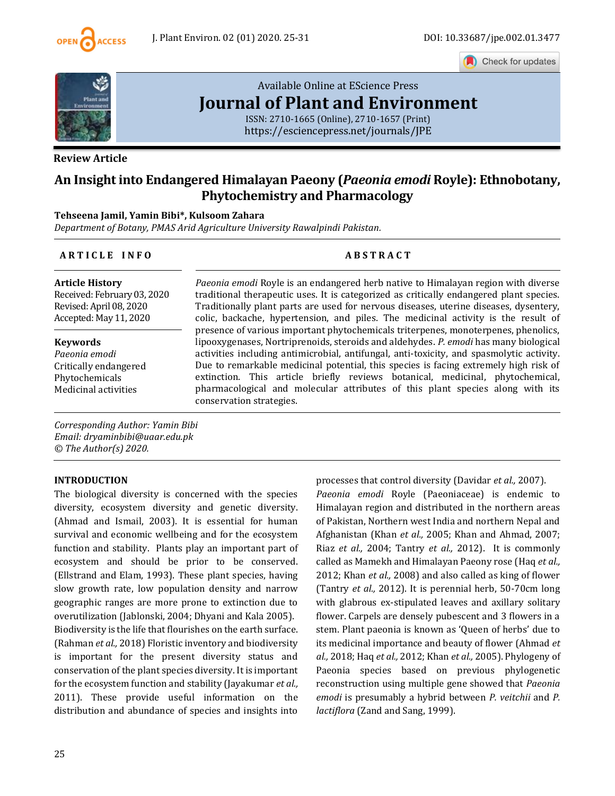

Check for updates



## **Review Article**

# [Available Online at EScience Press](https://esciencepress.net/journals/JPE) **Journal [of Plant and Environment](https://esciencepress.net/journals/JPE)**

ISSN: 2710-1665 (Online), 2710-1657 (Print) <https://esciencepress.net/journals/JPE>

# **An Insight into Endangered Himalayan Paeony (***Paeonia emodi* **Royle): Ethnobotany, Phytochemistry and Pharmacology**

## **Tehseena Jamil, Yamin Bibi\*, Kulsoom Zahara**

*Department of Botany, PMAS Arid Agriculture University Rawalpindi Pakistan.*

## **A R T I C L E I N F O A B S T R A C T**

**Article History** Received: February 03, 2020 Revised: April 08, 2020 Accepted: May 11, 2020

#### **Keywords**

*Paeonia emodi* Critically endangered Phytochemicals Medicinal activities

*Paeonia emodi* Royle is an endangered herb native to Himalayan region with diverse traditional therapeutic uses. It is categorized as critically endangered plant species. Traditionally plant parts are used for nervous diseases, uterine diseases, dysentery, colic, backache, hypertension, and piles. The medicinal activity is the result of presence of various important phytochemicals triterpenes, monoterpenes, phenolics, lipooxygenases, Nortriprenoids, steroids and aldehydes. *P. emodi* has many biological activities including antimicrobial, antifungal, anti-toxicity, and spasmolytic activity. Due to remarkable medicinal potential, this species is facing extremely high risk of extinction. This article briefly reviews botanical, medicinal, phytochemical, pharmacological and molecular attributes of this plant species along with its conservation strategies.

*Corresponding Author: Yamin Bibi Email: dryaminbibi@uaar.edu.pk © The Author(s) 2020.*

## **INTRODUCTION**

The biological diversity is concerned with the species diversity, ecosystem diversity and genetic diversity. (Ahmad and Ismail, 2003). It is essential for human survival and economic wellbeing and for the ecosystem function and stability. Plants play an important part of ecosystem and should be prior to be conserved. (Ellstrand and Elam, 1993). These plant species, having slow growth rate, low population density and narrow geographic ranges are more prone to extinction due to overutilization (Jablonski, 2004; Dhyani and Kala 2005). Biodiversity is the life that flourishes on the earth surface. (Rahman *et al.,* 2018) Floristic inventory and biodiversity is important for the present diversity status and conservation of the plant species diversity. It is important for the ecosystem function and stability (Jayakumar *et al.,* 2011). These provide useful information on the distribution and abundance of species and insights into processes that control diversity (Davidar *et al.,* 2007). *Paeonia emodi* Royle (Paeoniaceae) is endemic to Himalayan region and distributed in the northern areas of Pakistan, Northern west India and northern Nepal and Afghanistan (Khan *et al.,* 2005; Khan and Ahmad, 2007; Riaz *et al.,* 2004; Tantry *et al.,* 2012). It is commonly called as Mamekh and Himalayan Paeony rose (Haq *et al.,* 2012; Khan *et al.,* 2008) and also called as king of flower (Tantry *et al.,* 2012). It is perennial herb, 50-70cm long with glabrous ex-stipulated leaves and axillary solitary flower. Carpels are densely pubescent and 3 flowers in a stem. Plant paeonia is known as 'Queen of herbs' due to its medicinal importance and beauty of flower (Ahmad *et al.,* 2018; Haq *et al.,* 2012; Khan *et al.,* 2005). Phylogeny of Paeonia species based on previous phylogenetic reconstruction using multiple gene showed that *Paeonia emodi* is presumably a hybrid between *P. veitchii* and *P. lactiflora* (Zand and Sang, 1999).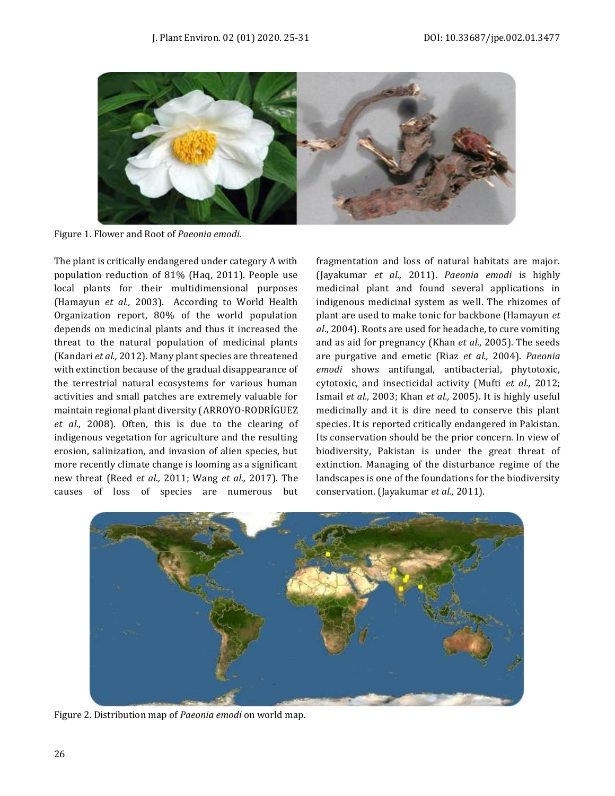

Figure 1. Flower and Root of *Paeonia emodi.*

The plant is critically endangered under category A with population reduction of 81% (Haq, 2011). People use local plants for their multidimensional purposes (Hamayun *et al.,* 2003). According to World Health Organization report, 80% of the world population depends on medicinal plants and thus it increased the threat to the natural population of medicinal plants (Kandari *et al.,* 2012). Many plant species are threatened with extinction because of the gradual disappearance of the terrestrial natural ecosystems for various human activities and small patches are extremely valuable for maintain regional plant diversity (ARROYO‐RODRÍGUEZ *et al.,* 2008). Often, this is due to the clearing of indigenous vegetation for agriculture and the resulting erosion, salinization, and invasion of alien species, but more recently climate change is looming as a significant new threat (Reed *et al.,* 2011; Wang *et al.,* 2017). The causes of loss of species are numerous but fragmentation and loss of natural habitats are major. (Jayakumar *et al.,* 2011). *Paeonia emodi* is highly medicinal plant and found several applications in indigenous medicinal system as well. The rhizomes of plant are used to make tonic for backbone (Hamayun *et al*., 2004). Roots are used for headache, to cure vomiting and as aid for pregnancy (Khan *et al*., 2005). The seeds are purgative and emetic (Riaz *et al.,* 2004). *Paeonia emodi* shows antifungal, antibacterial, phytotoxic, cytotoxic, and insecticidal activity (Mufti *et al.,* 2012; Ismail *et al.,* 2003; Khan *et al.,* 2005). It is highly useful medicinally and it is dire need to conserve this plant species. It is reported critically endangered in Pakistan. Its conservation should be the prior concern. In view of biodiversity, Pakistan is under the great threat of extinction. Managing of the disturbance regime of the landscapes is one of the foundations for the biodiversity conservation. (Jayakumar *et al.,* 2011).



Figure 2. Distribution map of *Paeonia emodi* on world map.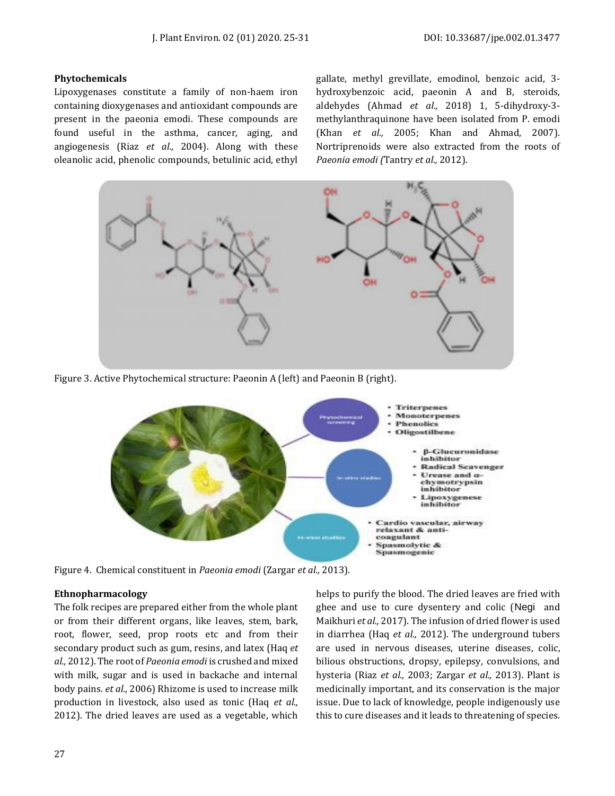#### **Phytochemicals**

Lipoxygenases constitute a family of non-haem iron containing dioxygenases and antioxidant compounds are present in the paeonia emodi. These compounds are found useful in the asthma, cancer, aging, and angiogenesis (Riaz *et al.,* 2004). Along with these oleanolic acid, phenolic compounds, betulinic acid, ethyl

gallate, methyl grevillate, emodinol, benzoic acid, 3 hydroxybenzoic acid, paeonin A and B, steroids, aldehydes (Ahmad *et al.,* 2018) 1, 5-dihydroxy-3 methylanthraquinone have been isolated from P. emodi (Khan *et al.,* 2005; Khan and Ahmad, 2007). Nortriprenoids were also extracted from the roots of *Paeonia emodi (*Tantry *et al.,* 2012).



Figure 3. Active Phytochemical structure: Paeonin A (left) and Paeonin B (right).



Figure 4. Chemical constituent in *Paeonia emodi* (Zargar *et al.,* 2013).

## **Ethnopharmacology**

The folk recipes are prepared either from the whole plant or from their different organs, like leaves, stem, bark, root, flower, seed, prop roots etc and from their secondary product such as gum, resins, and latex (Haq *et al.,* 2012). The root of *Paeonia emodi* is crushed and mixed with milk, sugar and is used in backache and internal body pains. *et al.,* 2006) Rhizome is used to increase milk production in livestock, also used as tonic (Haq *et al.,* 2012). The dried leaves are used as a vegetable, which

helps to purify the blood. The dried leaves are fried with ghee and use to cure dysentery and colic (Negi and Maikhuri *et al.,* 2017). The infusion of dried flower is used in diarrhea (Haq *et al.,* 2012). The underground tubers are used in nervous diseases, uterine diseases, colic, bilious obstructions, dropsy, epilepsy, convulsions, and hysteria (Riaz *et al.,* 2003; Zargar *et al.,* 2013). Plant is medicinally important, and its conservation is the major issue. Due to lack of knowledge, people indigenously use this to cure diseases and it leads to threatening of species.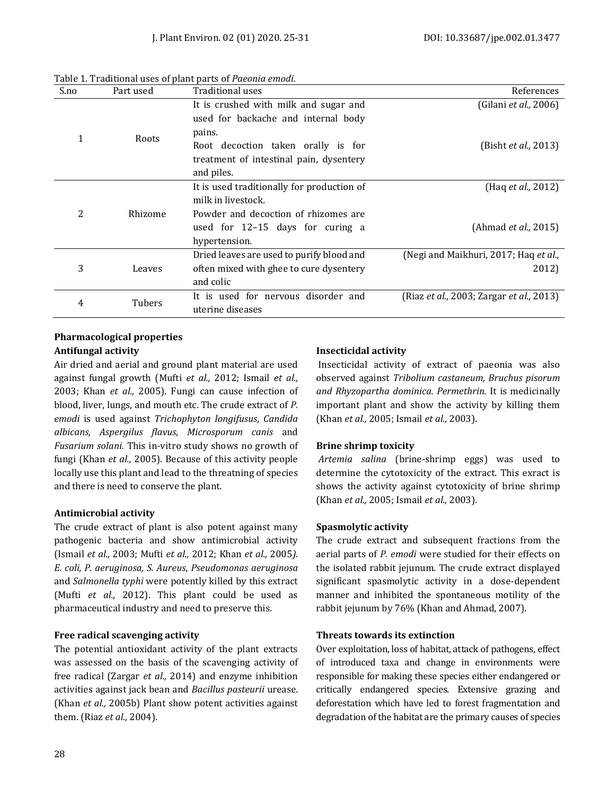| S.no | Part used | Traditional uses                                                                                                                                                        | References                                     |
|------|-----------|-------------------------------------------------------------------------------------------------------------------------------------------------------------------------|------------------------------------------------|
|      | Roots     | It is crushed with milk and sugar and<br>used for backache and internal body<br>pains.<br>Root decoction taken orally is for<br>treatment of intestinal pain, dysentery | (Gilani et al., 2006)<br>(Bisht et al., 2013)  |
|      |           | and piles.<br>It is used traditionally for production of                                                                                                                | (Hag <i>et al.</i> , 2012)                     |
| 2    | Rhizome   | milk in livestock.<br>Powder and decoction of rhizomes are<br>used for 12-15 days for curing a<br>hypertension.                                                         | (Ahmad <i>et al.,</i> 2015)                    |
| 3    | Leaves    | Dried leaves are used to purify blood and<br>often mixed with ghee to cure dysentery<br>and colic                                                                       | (Negi and Maikhuri, 2017; Haq et al.,<br>2012) |
| 4    | Tubers    | It is used for nervous disorder and<br>uterine diseases                                                                                                                 | (Riaz et al., 2003; Zargar et al., 2013)       |

Table 1. Traditional uses of plant parts of *Paeonia emodi.*

## **Pharmacological properties Antifungal activity**

Air dried and aerial and ground plant material are used against fungal growth (Mufti *et al.,* 2012; Ismail *et al.,* 2003; Khan *et al.,* 2005). Fungi can cause infection of blood, liver, lungs, and mouth etc. The crude extract of *P. emodi* is used against *Trichophyton longifusus, Candida albicans, Aspergilus flavus, Microsporum canis* and *Fusarium solani.* This in-vitro study shows no growth of fungi (Khan *et al.,* 2005). Because of this activity people locally use this plant and lead to the threatning of species and there is need to conserve the plant.

## **Antimicrobial activity**

The crude extract of plant is also potent against many pathogenic bacteria and show antimicrobial activity (Ismail *et al.,* 2003; Mufti *et al.,* 2012; Khan *et al.,* 2005*). E. coli, P. aeruginosa, S. Aureus*, *Pseudomonas aeruginosa* and *Salmonella typhi* were potently killed by this extract (Mufti *et al.,* 2012). This plant could be used as pharmaceutical industry and need to preserve this.

## **Free radical scavenging activity**

The potential antioxidant activity of the plant extracts was assessed on the basis of the scavenging activity of free radical (Zargar *et al.,* 2014) and enzyme inhibition activities against jack bean and *Bacillus pasteurii* urease. (Khan *et al.,* 2005b) Plant show potent activities against them. (Riaz *et al.,* 2004).

## **Insecticidal activity**

Insecticidal activity of extract of paeonia was also observed against *Tribolium castaneum, Bruchus pisorum and Rhyzopartha dominica. Permethrin.* It is medicinally important plant and show the activity by killing them (Khan *et al.,* 2005; Ismail *et al.,* 2003).

## **Brine shrimp toxicity**

*Artemia salina* (brine-shrimp eggs) was used to determine the cytotoxicity of the extract. This exract is shows the activity against cytotoxicity of brine shrimp (Khan *et al.,* 2005; Ismail *et al.,* 2003).

## **Spasmolytic activity**

The crude extract and subsequent fractions from the aerial parts of *P. emodi* were studied for their effects on the isolated rabbit jejunum. The crude extract displayed significant spasmolytic activity in a dose-dependent manner and inhibited the spontaneous motility of the rabbit jejunum by 76% (Khan and Ahmad, 2007).

## **Threats towards its extinction**

Over exploitation, loss of habitat, attack of pathogens, effect of introduced taxa and change in environments were responsible for making these species either endangered or critically endangered species. Extensive grazing and deforestation which have led to forest fragmentation and degradation of the habitat are the primary causes of species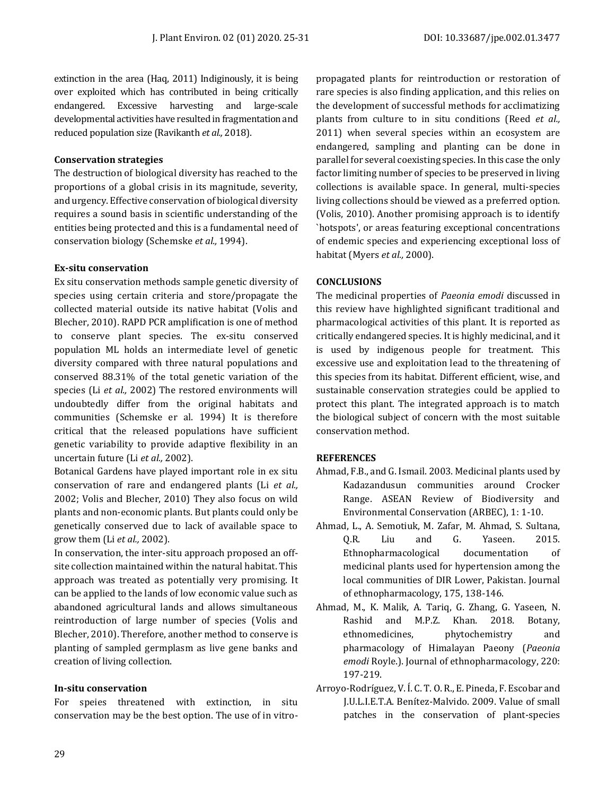extinction in the area (Haq, 2011) Indiginously, it is being over exploited which has contributed in being critically endangered. Excessive harvesting and large-scale developmental activities have resulted in fragmentation and reduced population size (Ravikanth *et al.,* 2018).

## **Conservation strategies**

The destruction of biological diversity has reached to the proportions of a global crisis in its magnitude, severity, and urgency. Effective conservation of biological diversity requires a sound basis in scientific understanding of the entities being protected and this is a fundamental need of conservation biology (Schemske *et al.,* 1994).

## **Ex-situ conservation**

Ex situ conservation methods sample genetic diversity of species using certain criteria and store/propagate the collected material outside its native habitat (Volis and Blecher, 2010). RAPD PCR amplification is one of method to conserve plant species. The ex-situ conserved population ML holds an intermediate level of genetic diversity compared with three natural populations and conserved 88.31% of the total genetic variation of the species (Li *et al.,* 2002) The restored environments will undoubtedly differ from the original habitats and communities (Schemske er al. 1994) It is therefore critical that the released populations have sufficient genetic variability to provide adaptive flexibility in an uncertain future (Li *et al.,* 2002).

Botanical Gardens have played important role in ex situ conservation of rare and endangered plants (Li *et al.,* 2002; Volis and Blecher, 2010) They also focus on wild plants and non-economic plants. But plants could only be genetically conserved due to lack of available space to grow them (Li *et al.,* 2002).

In conservation, the inter-situ approach proposed an offsite collection maintained within the natural habitat. This approach was treated as potentially very promising. It can be applied to the lands of low economic value such as abandoned agricultural lands and allows simultaneous reintroduction of large number of species (Volis and Blecher, 2010). Therefore, another method to conserve is planting of sampled germplasm as live gene banks and creation of living collection.

## **In-situ conservation**

For speies threatened with extinction, in situ conservation may be the best option. The use of in vitropropagated plants for reintroduction or restoration of rare species is also finding application, and this relies on the development of successful methods for acclimatizing plants from culture to in situ conditions (Reed *et al.,* 2011) when several species within an ecosystem are endangered, sampling and planting can be done in parallel for several coexisting species. In this case the only factor limiting number of species to be preserved in living collections is available space. In general, multi-species living collections should be viewed as a preferred option. (Volis, 2010). Another promising approach is to identify `hotspots', or areas featuring exceptional concentrations of endemic species and experiencing exceptional loss of habitat (Myers *et al.,* 2000).

## **CONCLUSIONS**

The medicinal properties of *Paeonia emodi* discussed in this review have highlighted significant traditional and pharmacological activities of this plant. It is reported as critically endangered species. It is highly medicinal, and it is used by indigenous people for treatment. This excessive use and exploitation lead to the threatening of this species from its habitat. Different efficient, wise, and sustainable conservation strategies could be applied to protect this plant. The integrated approach is to match the biological subject of concern with the most suitable conservation method.

## **REFERENCES**

- Ahmad, F.B., and G. Ismail. 2003. Medicinal plants used by Kadazandusun communities around Crocker Range. ASEAN Review of Biodiversity and Environmental Conservation (ARBEC), 1: 1-10.
- Ahmad, L., A. Semotiuk, M. Zafar, M. Ahmad, S. Sultana, Q.R. Liu and G. Yaseen. 2015. Ethnopharmacological documentation of medicinal plants used for hypertension among the local communities of DIR Lower, Pakistan. Journal of ethnopharmacology, 175, 138-146.
- Ahmad, M., K. Malik, A. Tariq, G. Zhang, G. Yaseen, N. Rashid and M.P.Z. Khan. 2018. Botany, ethnomedicines, phytochemistry and pharmacology of Himalayan Paeony (*Paeonia emodi* Royle.). Journal of ethnopharmacology, 220: 197-219.
- Arroyo‐Rodríguez, V. Í. C. T. O. R., E. Pineda, F. Escobar and J.U.L.I.E.T.A. Benítez‐Malvido. 2009. Value of small patches in the conservation of plant‐species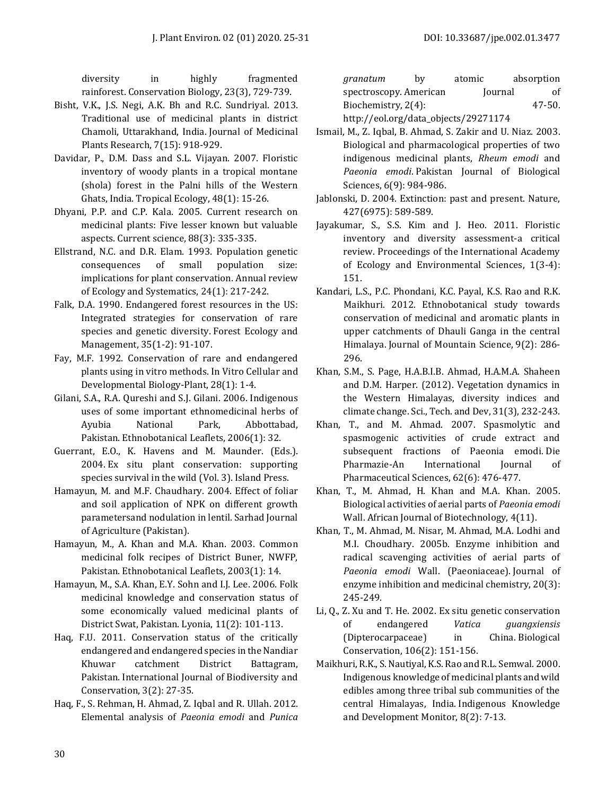diversity in highly fragmented rainforest. Conservation Biology, 23(3), 729-739.

- Bisht, V.K., J.S. Negi, A.K. Bh and R.C. Sundriyal. 2013. Traditional use of medicinal plants in district Chamoli, Uttarakhand, India. Journal of Medicinal Plants Research, 7(15): 918-929.
- Davidar, P., D.M. Dass and S.L. Vijayan. 2007. Floristic inventory of woody plants in a tropical montane (shola) forest in the Palni hills of the Western Ghats, India. Tropical Ecology, 48(1): 15-26.
- Dhyani, P.P. and C.P. Kala. 2005. Current research on medicinal plants: Five lesser known but valuable aspects. Current science, 88(3): 335-335.
- Ellstrand, N.C. and D.R. Elam. 1993. Population genetic consequences of small population size: implications for plant conservation. Annual review of Ecology and Systematics, 24(1): 217-242.
- Falk, D.A. 1990. Endangered forest resources in the US: Integrated strategies for conservation of rare species and genetic diversity. Forest Ecology and Management, 35(1-2): 91-107.
- Fay, M.F. 1992. Conservation of rare and endangered plants using in vitro methods. In Vitro Cellular and Developmental Biology-Plant, 28(1): 1-4.
- Gilani, S.A., R.A. Qureshi and S.J. Gilani. 2006. Indigenous uses of some important ethnomedicinal herbs of Ayubia National Park, Abbottabad, Pakistan. Ethnobotanical Leaflets, 2006(1): 32.
- Guerrant, E.O., K. Havens and M. Maunder. (Eds.). 2004. Ex situ plant conservation: supporting species survival in the wild (Vol. 3). Island Press.
- Hamayun, M. and M.F. Chaudhary. 2004. Effect of foliar and soil application of NPK on different growth parametersand nodulation in lentil. Sarhad Journal of Agriculture (Pakistan).
- Hamayun, M., A. Khan and M.A. Khan. 2003. Common medicinal folk recipes of District Buner, NWFP, Pakistan. Ethnobotanical Leaflets, 2003(1): 14.
- Hamayun, M., S.A. Khan, E.Y. Sohn and I.J. Lee. 2006. Folk medicinal knowledge and conservation status of some economically valued medicinal plants of District Swat, Pakistan. Lyonia, 11(2): 101-113.
- Haq, F.U. 2011. Conservation status of the critically endangered and endangered species in the Nandiar Khuwar catchment District Battagram, Pakistan. International Journal of Biodiversity and Conservation, 3(2): 27-35.
- Haq, F., S. Rehman, H. Ahmad, Z. Iqbal and R. Ullah. 2012. Elemental analysis of *Paeonia emodi* and *Punica*

*granatum* by atomic absorption spectroscopy. American Journal of Biochemistry, 2(4): 47-50. [http://eol.org/data\\_objects/29271174](http://eol.org/data_objects/29271174)

- Ismail, M., Z. Iqbal, B. Ahmad, S. Zakir and U. Niaz. 2003. Biological and pharmacological properties of two indigenous medicinal plants, *Rheum emodi* and *Paeonia emodi*. Pakistan Journal of Biological Sciences, 6(9): 984-986.
- Jablonski, D. 2004. Extinction: past and present. Nature, 427(6975): 589-589.
- Jayakumar, S., S.S. Kim and J. Heo. 2011. Floristic inventory and diversity assessment-a critical review. Proceedings of the International Academy of Ecology and Environmental Sciences, 1(3-4): 151.
- Kandari, L.S., P.C. Phondani, K.C. Payal, K.S. Rao and R.K. Maikhuri. 2012. Ethnobotanical study towards conservation of medicinal and aromatic plants in upper catchments of Dhauli Ganga in the central Himalaya. Journal of Mountain Science, 9(2): 286- 296.
- Khan, S.M., S. Page, H.A.B.I.B. Ahmad, H.A.M.A. Shaheen and D.M. Harper. (2012). Vegetation dynamics in the Western Himalayas, diversity indices and climate change. Sci., Tech. and Dev, 31(3), 232-243.
- Khan, T., and M. Ahmad. 2007. Spasmolytic and spasmogenic activities of crude extract and subsequent fractions of Paeonia emodi. Die Pharmazie-An International Journal of Pharmaceutical Sciences, 62(6): 476-477.
- Khan, T., M. Ahmad, H. Khan and M.A. Khan. 2005. Biological activities of aerial parts of *Paeonia emodi* Wall. African Journal of Biotechnology, 4(11).
- Khan, T., M. Ahmad, M. Nisar, M. Ahmad, M.A. Lodhi and M.I. Choudhary. 2005b. Enzyme inhibition and radical scavenging activities of aerial parts of *Paeonia emodi* Wall. (Paeoniaceae). Journal of enzyme inhibition and medicinal chemistry, 20(3): 245-249.
- Li, Q., Z. Xu and T. He. 2002. Ex situ genetic conservation of endangered *Vatica guangxiensis* (Dipterocarpaceae) in China. Biological Conservation, 106(2): 151-156.
- Maikhuri, R.K., S.Nautiyal, K.S. Rao and R.L. Semwal. 2000. Indigenous knowledge of medicinal plants and wild edibles among three tribal sub communities of the central Himalayas, India. Indigenous Knowledge and Development Monitor, 8(2): 7-13.